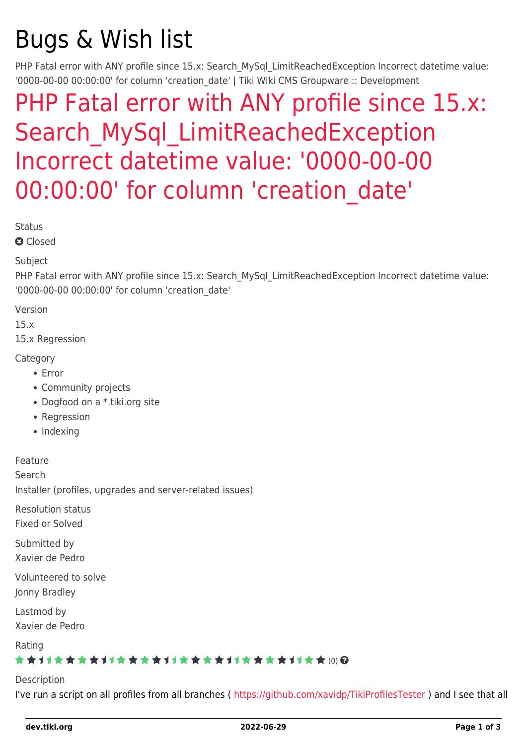# Bugs & Wish list

PHP Fatal error with ANY profile since 15.x: Search MySql LimitReachedException Incorrect datetime value: '0000-00-00 00:00:00' for column 'creation date' | Tiki Wiki CMS Groupware :: Development

## [PHP Fatal error with ANY profile since 15.x:](https://dev.tiki.org/item5936-PHP-Fatal-error-with-ANY-profile-since-15-x-Search_MySql_LimitReachedException-Incorrect-datetime-value-0000-00-00-00-00-00-for-column-creation_date) Search MySql LimitReachedException [Incorrect datetime value: '0000-00-00](https://dev.tiki.org/item5936-PHP-Fatal-error-with-ANY-profile-since-15-x-Search_MySql_LimitReachedException-Incorrect-datetime-value-0000-00-00-00-00-00-for-column-creation_date) [00:00:00' for column 'creation\\_date'](https://dev.tiki.org/item5936-PHP-Fatal-error-with-ANY-profile-since-15-x-Search_MySql_LimitReachedException-Incorrect-datetime-value-0000-00-00-00-00-00-for-column-creation_date)

**Status** 

**a** Closed

#### Subject

PHP Fatal error with ANY profile since 15.x: Search MySql LimitReachedException Incorrect datetime value: '0000-00-00 00:00:00' for column 'creation\_date'

Version

15.x

15.x Regression

Category

- Error
- Community projects
- Dogfood on a \*.tiki.org site
- Regression
- Indexing

Feature

Search

Installer (profiles, upgrades and server-related issues)

Resolution status Fixed or Solved

Submitted by Xavier de Pedro

Volunteered to solve Jonny Bradley

Lastmod by Xavier de Pedro

Rating

### ★★11★★★★11★★★★11★★★★11★★★★11★★ (0) @

Description

I've run a script on all profiles from all branches (<https://github.com/xavidp/TikiProfilesTester>) and I see that all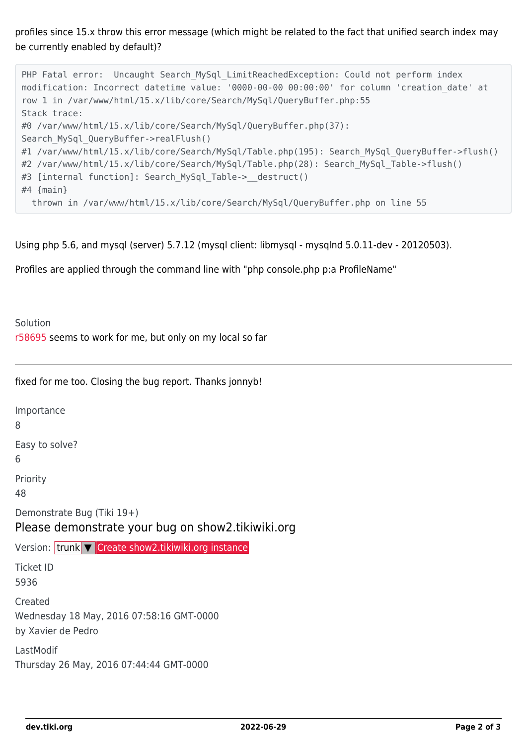profiles since 15.x throw this error message (which might be related to the fact that unified search index may be currently enabled by default)?

```
PHP Fatal error: Uncaught Search MySql LimitReachedException: Could not perform index
modification: Incorrect datetime value: '0000-00-00 00:00:00' for column 'creation_date' at
row 1 in /var/www/html/15.x/lib/core/Search/MySql/QueryBuffer.php:55
Stack trace:
#0 /var/www/html/15.x/lib/core/Search/MySql/QueryBuffer.php(37):
Search MySql QueryBuffer->realFlush()
#1 /var/www/html/15.x/lib/core/Search/MySql/Table.php(195): Search MySql QueryBuffer->flush()
#2 /var/www/html/15.x/lib/core/Search/MySql/Table.php(28): Search MySql Table->flush()
#3 [internal function]: Search MySql Table-> destruct()
#4 {main}
  thrown in /var/www/html/15.x/lib/core/Search/MySql/QueryBuffer.php on line 55
```
Using php 5.6, and mysql (server) 5.7.12 (mysql client: libmysql - mysqlnd 5.0.11-dev - 20120503).

Profiles are applied through the command line with "php console.php p:a ProfileName"

Solution [r58695](http://sourceforge.net/p/tikiwiki/code/58695) seems to work for me, but only on my local so far

fixed for me too. Closing the bug report. Thanks jonnyb!

Importance

8

Easy to solve?

6

Priority

48

Demonstrate Bug (Tiki 19+)

Please demonstrate your bug on show2.tikiwiki.org

Version: trunk ▼ [Create show2.tikiwiki.org instance](#page--1-0)

Ticket ID 5936

Created Wednesday 18 May, 2016 07:58:16 GMT-0000 by Xavier de Pedro

LastModif Thursday 26 May, 2016 07:44:44 GMT-0000